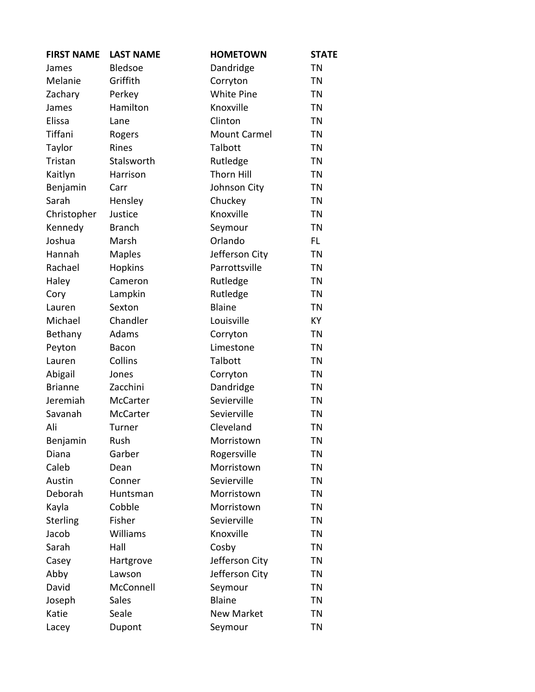| <b>FIRST NAME</b> | <b>LAST NAME</b> | <b>HOMETOWN</b>     | <b>STATE</b> |
|-------------------|------------------|---------------------|--------------|
| James             | Bledsoe          | Dandridge           | <b>TN</b>    |
| Melanie           | Griffith         | Corryton            | <b>TN</b>    |
| Zachary           | Perkey           | <b>White Pine</b>   | <b>TN</b>    |
| James             | Hamilton         | Knoxville           | <b>TN</b>    |
| Elissa            | Lane             | Clinton             | <b>TN</b>    |
| Tiffani           | Rogers           | <b>Mount Carmel</b> | <b>TN</b>    |
| Taylor            | Rines            | Talbott             | <b>TN</b>    |
| Tristan           | Stalsworth       | Rutledge            | <b>TN</b>    |
| Kaitlyn           | Harrison         | <b>Thorn Hill</b>   | <b>TN</b>    |
| Benjamin          | Carr             | Johnson City        | <b>TN</b>    |
| Sarah             | Hensley          | Chuckey             | <b>TN</b>    |
| Christopher       | Justice          | Knoxville           | <b>TN</b>    |
| Kennedy           | <b>Branch</b>    | Seymour             | <b>TN</b>    |
| Joshua            | Marsh            | Orlando             | FL           |
| Hannah            | <b>Maples</b>    | Jefferson City      | <b>TN</b>    |
| Rachael           | <b>Hopkins</b>   | Parrottsville       | <b>TN</b>    |
| Haley             | Cameron          | Rutledge            | <b>TN</b>    |
| Cory              | Lampkin          | Rutledge            | <b>TN</b>    |
| Lauren            | Sexton           | <b>Blaine</b>       | <b>TN</b>    |
| Michael           | Chandler         | Louisville          | KY           |
| Bethany           | Adams            | Corryton            | <b>TN</b>    |
| Peyton            | <b>Bacon</b>     | Limestone           | <b>TN</b>    |
| Lauren            | Collins          | Talbott             | <b>TN</b>    |
| Abigail           | Jones            | Corryton            | <b>TN</b>    |
| <b>Brianne</b>    | Zacchini         | Dandridge           | <b>TN</b>    |
| Jeremiah          | McCarter         | Sevierville         | <b>TN</b>    |
| Savanah           | McCarter         | Sevierville         | <b>TN</b>    |
| Ali               | Turner           | Cleveland           | <b>TN</b>    |
| Benjamin          | Rush             | Morristown          | <b>TN</b>    |
| Diana             | Garber           | Rogersville         | ΤN           |
| Caleb             | Dean             | Morristown          | TN           |
| Austin            | Conner           | Sevierville         | ΤN           |
| Deborah           | Huntsman         | Morristown          | TN           |
| Kayla             | Cobble           | Morristown          | TN           |
| Sterling          | Fisher           | Sevierville         | ΤN           |
| Jacob             | Williams         | Knoxville           | <b>TN</b>    |
| Sarah             | Hall             | Cosby               | TN           |
| Casey             | Hartgrove        | Jefferson City      | TN           |
| Abby              | Lawson           | Jefferson City      | ΤN           |
| David             | McConnell        | Seymour             | TN           |
| Joseph            | <b>Sales</b>     | <b>Blaine</b>       | ΤN           |
| Katie             | Seale            | <b>New Market</b>   | TN           |
| Lacey             | Dupont           | Seymour             | <b>TN</b>    |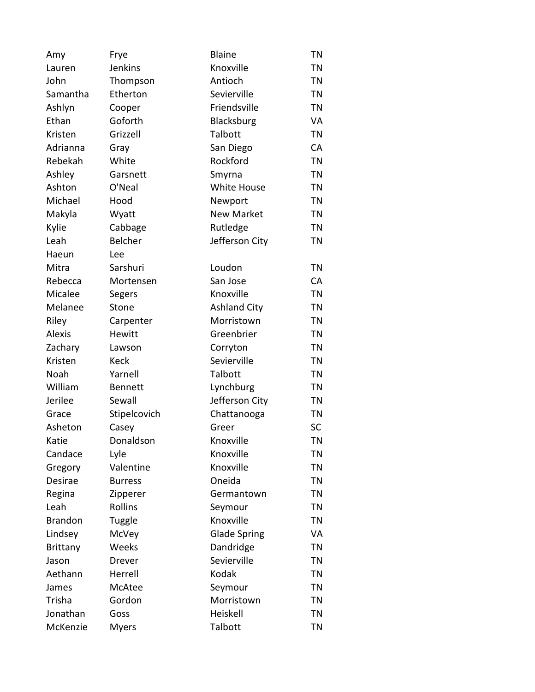| Amy             | Frye           | Blaine              | <b>TN</b> |
|-----------------|----------------|---------------------|-----------|
| Lauren          | Jenkins        | Knoxville           | <b>TN</b> |
| John            | Thompson       | Antioch             | <b>TN</b> |
| Samantha        | Etherton       | Sevierville         | <b>TN</b> |
| Ashlyn          | Cooper         | Friendsville        | <b>TN</b> |
| Ethan           | Goforth        | Blacksburg          | VA        |
| Kristen         | Grizzell       | Talbott             | <b>TN</b> |
| Adrianna        | Gray           | San Diego           | CA        |
| Rebekah         | White          | Rockford            | <b>TN</b> |
| Ashley          | Garsnett       | Smyrna              | <b>TN</b> |
| Ashton          | O'Neal         | White House         | <b>TN</b> |
| Michael         | Hood           | Newport             | ΤN        |
| Makyla          | Wyatt          | <b>New Market</b>   | <b>TN</b> |
| Kylie           | Cabbage        | Rutledge            | <b>TN</b> |
| Leah            | Belcher        | Jefferson City      | <b>TN</b> |
| Haeun           | Lee            |                     |           |
| Mitra           | Sarshuri       | Loudon              | <b>TN</b> |
| Rebecca         | Mortensen      | San Jose            | CA        |
| Micalee         | Segers         | Knoxville           | <b>TN</b> |
| Melanee         | Stone          | <b>Ashland City</b> | <b>TN</b> |
| Riley           | Carpenter      | Morristown          | <b>TN</b> |
| <b>Alexis</b>   | <b>Hewitt</b>  | Greenbrier          | <b>TN</b> |
| Zachary         | Lawson         | Corryton            | ΤN        |
| Kristen         | <b>Keck</b>    | Sevierville         | <b>TN</b> |
| Noah            | Yarnell        | Talbott             | <b>TN</b> |
| William         | <b>Bennett</b> | Lynchburg           | <b>TN</b> |
| Jerilee         | Sewall         | Jefferson City      | ΤN        |
| Grace           | Stipelcovich   | Chattanooga         | <b>TN</b> |
| Asheton         | Casey          | Greer               | SC        |
| Katie           | Donaldson      | Knoxville           | <b>TN</b> |
| Candace         | Lyle           | Knoxville           | ΤN        |
| Gregory         | Valentine      | Knoxville           | <b>TN</b> |
| Desirae         | <b>Burress</b> | Oneida              | <b>TN</b> |
| Regina          | Zipperer       | Germantown          | <b>TN</b> |
| Leah            | Rollins        | Seymour             | <b>TN</b> |
| <b>Brandon</b>  | Tuggle         | Knoxville           | ΤN        |
| Lindsey         | McVey          | <b>Glade Spring</b> | VA        |
| <b>Brittany</b> | Weeks          | Dandridge           | <b>TN</b> |
| Jason           | Drever         | Sevierville         | <b>TN</b> |
| Aethann         | Herrell        | Kodak               | ΤN        |
| James           | McAtee         | Seymour             | <b>TN</b> |
| Trisha          | Gordon         | Morristown          | ΤN        |
| Jonathan        | Goss           | Heiskell            | <b>TN</b> |
| McKenzie        | <b>Myers</b>   | Talbott             | <b>TN</b> |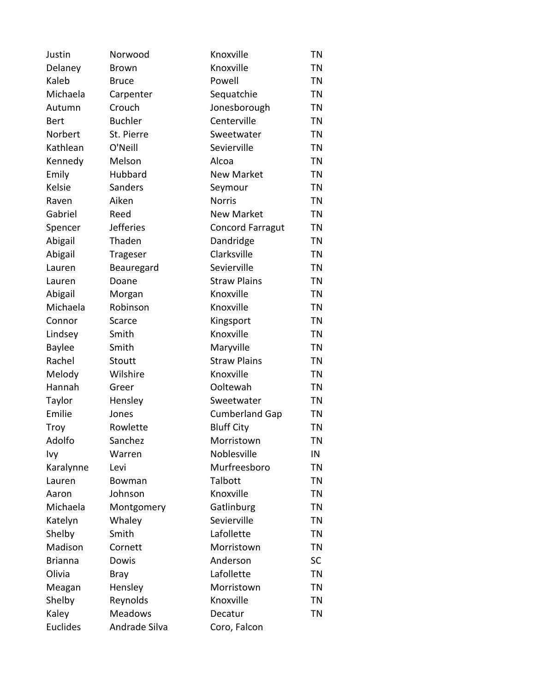| Justin          | Norwood          | Knoxville               | <b>TN</b> |
|-----------------|------------------|-------------------------|-----------|
| Delaney         | <b>Brown</b>     | Knoxville               | <b>TN</b> |
| Kaleb           | <b>Bruce</b>     | Powell                  | <b>TN</b> |
| Michaela        | Carpenter        | Sequatchie              | <b>TN</b> |
| Autumn          | Crouch           | Jonesborough            | ΤN        |
| Bert            | <b>Buchler</b>   | Centerville             | <b>TN</b> |
| Norbert         | St. Pierre       | Sweetwater              | <b>TN</b> |
| Kathlean        | O'Neill          | Sevierville             | <b>TN</b> |
| Kennedy         | Melson           | Alcoa                   | ΤN        |
| Emily           | Hubbard          | <b>New Market</b>       | <b>TN</b> |
| <b>Kelsie</b>   | Sanders          | Seymour                 | <b>TN</b> |
| Raven           | Aiken            | <b>Norris</b>           | <b>TN</b> |
| Gabriel         | Reed             | <b>New Market</b>       | <b>TN</b> |
| Spencer         | <b>Jefferies</b> | <b>Concord Farragut</b> | <b>TN</b> |
| Abigail         | Thaden           | Dandridge               | <b>TN</b> |
| Abigail         | Trageser         | Clarksville             | ΤN        |
| Lauren          | Beauregard       | Sevierville             | <b>TN</b> |
| Lauren          | Doane            | <b>Straw Plains</b>     | <b>TN</b> |
| Abigail         | Morgan           | Knoxville               | <b>TN</b> |
| Michaela        | Robinson         | Knoxville               | ΤN        |
| Connor          | Scarce           | Kingsport               | <b>TN</b> |
| Lindsey         | Smith            | Knoxville               | <b>TN</b> |
| <b>Baylee</b>   | Smith            | Maryville               | <b>TN</b> |
| Rachel          | Stoutt           | <b>Straw Plains</b>     | <b>TN</b> |
| Melody          | Wilshire         | Knoxville               | <b>TN</b> |
| Hannah          | Greer            | Ooltewah                | <b>TN</b> |
| Taylor          | Hensley          | Sweetwater              | ΤN        |
| Emilie          | Jones            | <b>Cumberland Gap</b>   | <b>TN</b> |
| Troy            | Rowlette         | <b>Bluff City</b>       | <b>TN</b> |
| Adolfo          | Sanchez          | Morristown              | <b>TN</b> |
| Ivy             | Warren           | Noblesville             | IN        |
| Karalynne       | Levi             | Murfreesboro            | <b>TN</b> |
| Lauren          | Bowman           | Talbott                 | ΤN        |
| Aaron           | Johnson          | Knoxville               | <b>TN</b> |
| Michaela        | Montgomery       | Gatlinburg              | <b>TN</b> |
| Katelyn         | Whaley           | Sevierville             | ΤN        |
| Shelby          | Smith            | Lafollette              | <b>TN</b> |
| Madison         | Cornett          | Morristown              | <b>TN</b> |
| <b>Brianna</b>  | Dowis            | Anderson                | <b>SC</b> |
| Olivia          | <b>Bray</b>      | Lafollette              | <b>TN</b> |
| Meagan          | Hensley          | Morristown              | <b>TN</b> |
| Shelby          | Reynolds         | Knoxville               | <b>TN</b> |
| Kaley           | <b>Meadows</b>   | Decatur                 | <b>TN</b> |
| <b>Euclides</b> | Andrade Silva    | Coro, Falcon            |           |
|                 |                  |                         |           |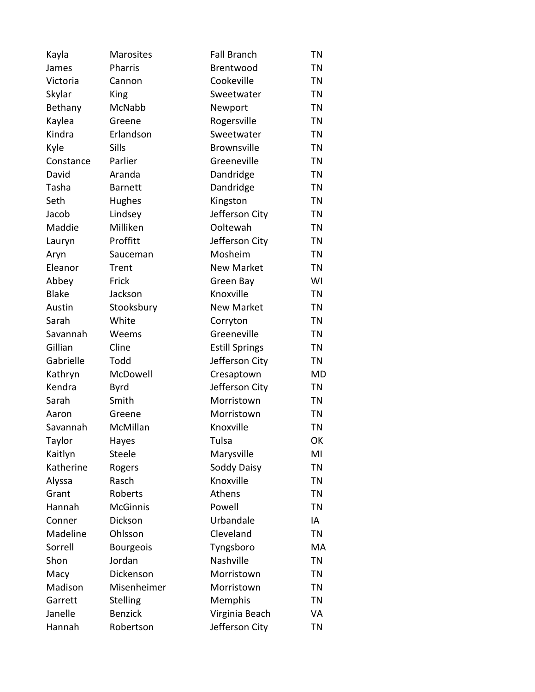| Kayla        | Marosites        | <b>Fall Branch</b>    | <b>TN</b> |
|--------------|------------------|-----------------------|-----------|
| James        | Pharris          | Brentwood             | <b>TN</b> |
| Victoria     | Cannon           | Cookeville            | <b>TN</b> |
| Skylar       | King             | Sweetwater            | <b>TN</b> |
| Bethany      | McNabb           | Newport               | <b>TN</b> |
| Kaylea       | Greene           | Rogersville           | <b>TN</b> |
| Kindra       | Erlandson        | Sweetwater            | <b>TN</b> |
| Kyle         | Sills            | <b>Brownsville</b>    | <b>TN</b> |
| Constance    | Parlier          | Greeneville           | <b>TN</b> |
| David        | Aranda           | Dandridge             | <b>TN</b> |
| Tasha        | <b>Barnett</b>   | Dandridge             | <b>TN</b> |
| Seth         | Hughes           | Kingston              | ΤN        |
| Jacob        | Lindsey          | Jefferson City        | <b>TN</b> |
| Maddie       | Milliken         | Ooltewah              | <b>TN</b> |
| Lauryn       | Proffitt         | Jefferson City        | <b>TN</b> |
| Aryn         | Sauceman         | Mosheim               | ΤN        |
| Eleanor      | Trent            | <b>New Market</b>     | <b>TN</b> |
| Abbey        | Frick            | Green Bay             | WI        |
| <b>Blake</b> | Jackson          | Knoxville             | <b>TN</b> |
| Austin       | Stooksbury       | <b>New Market</b>     | <b>TN</b> |
| Sarah        | White            | Corryton              | <b>TN</b> |
| Savannah     | Weems            | Greeneville           | <b>TN</b> |
| Gillian      | Cline            | <b>Estill Springs</b> | <b>TN</b> |
| Gabrielle    | Todd             | Jefferson City        | TN        |
| Kathryn      | McDowell         | Cresaptown            | MD        |
| Kendra       | <b>Byrd</b>      | Jefferson City        | <b>TN</b> |
| Sarah        | Smith            | Morristown            | ΤN        |
| Aaron        | Greene           | Morristown            | <b>TN</b> |
| Savannah     | McMillan         | Knoxville             | <b>TN</b> |
| Taylor       | Hayes            | Tulsa                 | OK        |
| Kaitlyn      | Steele           | Marysville            | MI        |
| Katherine    | Rogers           | Soddy Daisy           | <b>TN</b> |
| Alyssa       | Rasch            | Knoxville             | ΤN        |
| Grant        | Roberts          | Athens                | <b>TN</b> |
| Hannah       | <b>McGinnis</b>  | Powell                | <b>TN</b> |
| Conner       | Dickson          | Urbandale             | IA        |
| Madeline     | Ohlsson          | Cleveland             | TN        |
| Sorrell      | <b>Bourgeois</b> | Tyngsboro             | MA        |
| Shon         | Jordan           | Nashville             | <b>TN</b> |
| Macy         | Dickenson        | Morristown            | ΤN        |
| Madison      | Misenheimer      | Morristown            | <b>TN</b> |
| Garrett      | <b>Stelling</b>  | Memphis               | <b>TN</b> |
| Janelle      | <b>Benzick</b>   | Virginia Beach        | VA        |
| Hannah       | Robertson        | Jefferson City        | <b>TN</b> |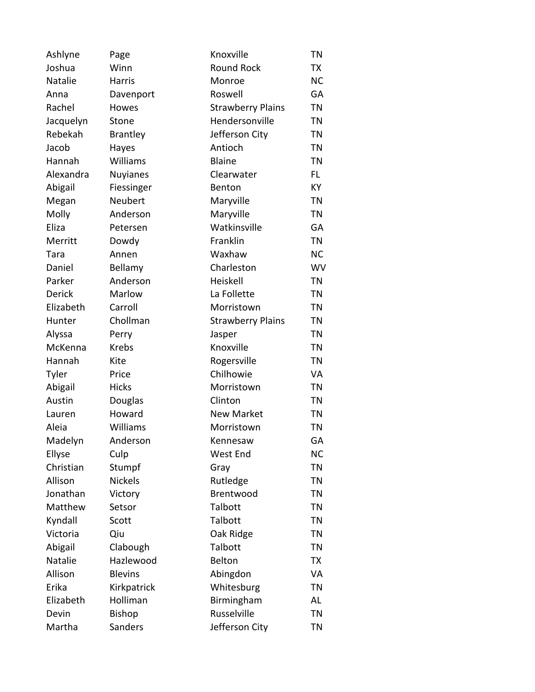| Ashlyne       | Page            | Knoxville                | <b>TN</b> |
|---------------|-----------------|--------------------------|-----------|
| Joshua        | Winn            | <b>Round Rock</b>        | TX        |
| Natalie       | <b>Harris</b>   | Monroe                   | <b>NC</b> |
| Anna          | Davenport       | Roswell                  | GA        |
| Rachel        | Howes           | <b>Strawberry Plains</b> | <b>TN</b> |
| Jacquelyn     | Stone           | Hendersonville           | <b>TN</b> |
| Rebekah       | <b>Brantley</b> | Jefferson City           | <b>TN</b> |
| Jacob         | Hayes           | Antioch                  | <b>TN</b> |
| Hannah        | Williams        | <b>Blaine</b>            | <b>TN</b> |
| Alexandra     | <b>Nuyianes</b> | Clearwater               | FL.       |
| Abigail       | Fiessinger      | Benton                   | <b>KY</b> |
| Megan         | Neubert         | Maryville                | <b>TN</b> |
| Molly         | Anderson        | Maryville                | <b>TN</b> |
| Eliza         | Petersen        | Watkinsville             | GA        |
| Merritt       | Dowdy           | Franklin                 | <b>TN</b> |
| Tara          | Annen           | Waxhaw                   | <b>NC</b> |
| Daniel        | Bellamy         | Charleston               | <b>WV</b> |
| Parker        | Anderson        | Heiskell                 | <b>TN</b> |
| <b>Derick</b> | Marlow          | La Follette              | <b>TN</b> |
| Elizabeth     | Carroll         | Morristown               | <b>TN</b> |
| Hunter        | Chollman        | <b>Strawberry Plains</b> | TN        |
| Alyssa        | Perry           | Jasper                   | <b>TN</b> |
| McKenna       | <b>Krebs</b>    | Knoxville                | <b>TN</b> |
| Hannah        | Kite            | Rogersville              | <b>TN</b> |
| Tyler         | Price           | Chilhowie                | VA        |
| Abigail       | <b>Hicks</b>    | Morristown               | <b>TN</b> |
| Austin        | Douglas         | Clinton                  | <b>TN</b> |
| Lauren        | Howard          | <b>New Market</b>        | TN        |
| Aleia         | Williams        | Morristown               | <b>TN</b> |
| Madelyn       | Anderson        | Kennesaw                 | GA        |
| Ellyse        | Culp            | West End                 | NC        |
| Christian     | Stumpf          | Gray                     | <b>TN</b> |
| Allison       | <b>Nickels</b>  | Rutledge                 | <b>TN</b> |
| Jonathan      | Victory         | Brentwood                | <b>TN</b> |
| Matthew       | Setsor          | Talbott                  | <b>TN</b> |
| Kyndall       | Scott           | Talbott                  | TN        |
| Victoria      | Qiu             | Oak Ridge                | <b>TN</b> |
| Abigail       | Clabough        | Talbott                  | <b>TN</b> |
| Natalie       | Hazlewood       | Belton                   | TX        |
| Allison       | <b>Blevins</b>  | Abingdon                 | VA        |
| Erika         | Kirkpatrick     | Whitesburg               | <b>TN</b> |
| Elizabeth     | Holliman        | Birmingham               | AL        |
| Devin         | <b>Bishop</b>   | Russelville              | <b>TN</b> |
| Martha        | Sanders         | Jefferson City           | <b>TN</b> |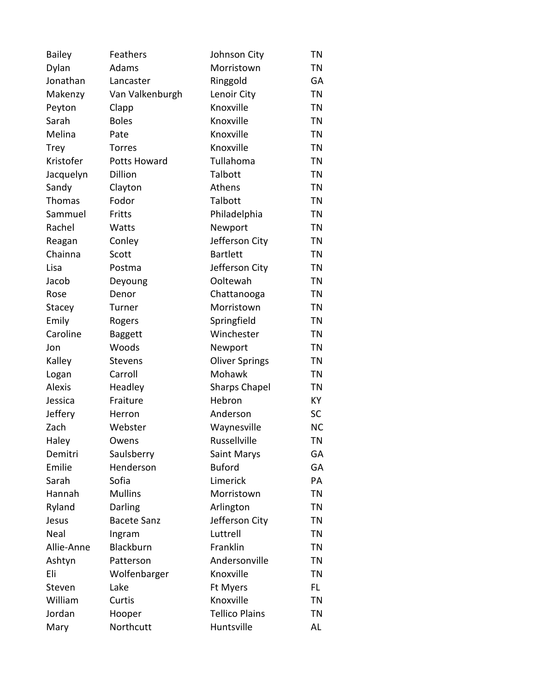| <b>Bailey</b> | Feathers           | Johnson City          | <b>TN</b> |
|---------------|--------------------|-----------------------|-----------|
| Dylan         | Adams              | Morristown            | TN        |
| Jonathan      | Lancaster          | Ringgold              | GA        |
| Makenzy       | Van Valkenburgh    | Lenoir City           | <b>TN</b> |
| Peyton        | Clapp              | Knoxville             | <b>TN</b> |
| Sarah         | <b>Boles</b>       | Knoxville             | <b>TN</b> |
| Melina        | Pate               | Knoxville             | <b>TN</b> |
| <b>Trey</b>   | <b>Torres</b>      | Knoxville             | <b>TN</b> |
| Kristofer     | Potts Howard       | Tullahoma             | <b>TN</b> |
| Jacquelyn     | Dillion            | Talbott               | <b>TN</b> |
| Sandy         | Clayton            | Athens                | <b>TN</b> |
| <b>Thomas</b> | Fodor              | Talbott               | TN        |
| Sammuel       | Fritts             | Philadelphia          | <b>TN</b> |
| Rachel        | Watts              | Newport               | <b>TN</b> |
| Reagan        | Conley             | Jefferson City        | <b>TN</b> |
| Chainna       | Scott              | <b>Bartlett</b>       | <b>TN</b> |
| Lisa          | Postma             | Jefferson City        | <b>TN</b> |
| Jacob         | Deyoung            | Ooltewah              | <b>TN</b> |
| Rose          | Denor              | Chattanooga           | <b>TN</b> |
| Stacey        | Turner             | Morristown            | <b>TN</b> |
| Emily         | Rogers             | Springfield           | <b>TN</b> |
| Caroline      | <b>Baggett</b>     | Winchester            | <b>TN</b> |
| Jon           | Woods              | Newport               | TN        |
| Kalley        | <b>Stevens</b>     | <b>Oliver Springs</b> | <b>TN</b> |
| Logan         | Carroll            | Mohawk                | <b>TN</b> |
| <b>Alexis</b> | Headley            | <b>Sharps Chapel</b>  | TN        |
| Jessica       | Fraiture           | Hebron                | KY        |
| Jeffery       | Herron             | Anderson              | <b>SC</b> |
| Zach          | Webster            | Waynesville           | <b>NC</b> |
| Haley         | Owens              | Russellville          | <b>TN</b> |
| Demitri       | Saulsberry         | Saint Marys           | GA        |
| Emilie        | Henderson          | <b>Buford</b>         | GA        |
| Sarah         | Sofia              | Limerick              | PA        |
| Hannah        | <b>Mullins</b>     | Morristown            | TN        |
| Ryland        | Darling            | Arlington             | <b>TN</b> |
| Jesus         | <b>Bacete Sanz</b> | Jefferson City        | TN        |
| Neal          | Ingram             | Luttrell              | <b>TN</b> |
| Allie-Anne    | Blackburn          | Franklin              | TN        |
| Ashtyn        | Patterson          | Andersonville         | <b>TN</b> |
| Eli           | Wolfenbarger       | Knoxville             | <b>TN</b> |
| Steven        | Lake               | Ft Myers              | FL.       |
| William       | Curtis             | Knoxville             | <b>TN</b> |
| Jordan        | Hooper             | <b>Tellico Plains</b> | ΤN        |
| Mary          | Northcutt          | Huntsville            | AL        |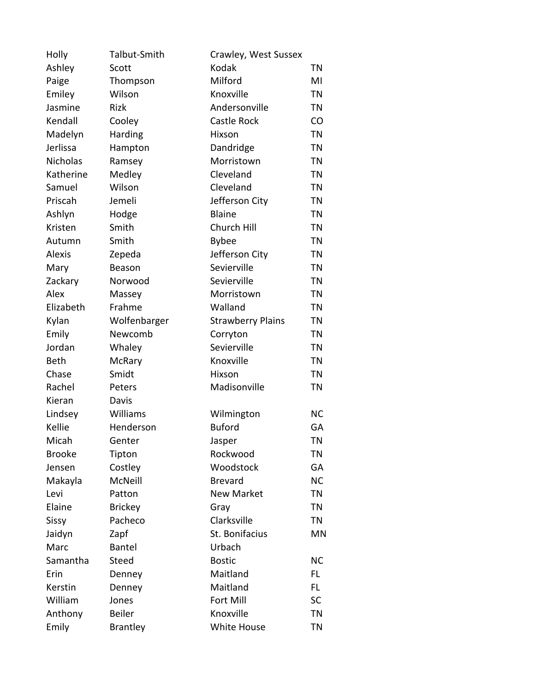| Holly           | Talbut-Smith    | Crawley, West Sussex     |           |
|-----------------|-----------------|--------------------------|-----------|
| Ashley          | Scott           | Kodak                    | TN        |
| Paige           | Thompson        | Milford                  | MI        |
| Emiley          | Wilson          | Knoxville                | <b>TN</b> |
| Jasmine         | <b>Rizk</b>     | Andersonville            | TN        |
| Kendall         | Cooley          | <b>Castle Rock</b>       | CO        |
| Madelyn         | Harding         | Hixson                   | <b>TN</b> |
| Jerlissa        | Hampton         | Dandridge                | <b>TN</b> |
| <b>Nicholas</b> | Ramsey          | Morristown               | ΤN        |
| Katherine       | Medley          | Cleveland                | <b>TN</b> |
| Samuel          | Wilson          | Cleveland                | <b>TN</b> |
| Priscah         | Jemeli          | Jefferson City           | <b>TN</b> |
| Ashlyn          | Hodge           | <b>Blaine</b>            | <b>TN</b> |
| Kristen         | Smith           | Church Hill              | <b>TN</b> |
| Autumn          | Smith           | <b>Bybee</b>             | <b>TN</b> |
| <b>Alexis</b>   | Zepeda          | Jefferson City           | TN        |
| Mary            | Beason          | Sevierville              | <b>TN</b> |
| Zackary         | Norwood         | Sevierville              | <b>TN</b> |
| Alex            | Massey          | Morristown               | <b>TN</b> |
| Elizabeth       | Frahme          | Walland                  | TN        |
| Kylan           | Wolfenbarger    | <b>Strawberry Plains</b> | <b>TN</b> |
| Emily           | Newcomb         | Corryton                 | <b>TN</b> |
| Jordan          | Whaley          | Sevierville              | <b>TN</b> |
| <b>Beth</b>     | McRary          | Knoxville                | <b>TN</b> |
| Chase           | Smidt           | Hixson                   | <b>TN</b> |
| Rachel          | Peters          | Madisonville             | <b>TN</b> |
| Kieran          | Davis           |                          |           |
| Lindsey         | Williams        | Wilmington               | <b>NC</b> |
| Kellie          | Henderson       | <b>Buford</b>            | GA        |
| Micah           | Genter          | Jasper                   | TN        |
| <b>Brooke</b>   | Tipton          | Rockwood                 | ΤN        |
| Jensen          | Costley         | Woodstock                | GA        |
| Makayla         | McNeill         | <b>Brevard</b>           | <b>NC</b> |
| Levi            | Patton          | <b>New Market</b>        | <b>TN</b> |
| Elaine          | <b>Brickey</b>  | Gray                     | <b>TN</b> |
| Sissy           | Pacheco         | Clarksville              | TN        |
| Jaidyn          | Zapf            | St. Bonifacius           | ΜN        |
| Marc            | <b>Bantel</b>   | Urbach                   |           |
| Samantha        | <b>Steed</b>    | <b>Bostic</b>            | <b>NC</b> |
| Erin            | Denney          | Maitland                 | FL.       |
| Kerstin         | Denney          | Maitland                 | FL.       |
| William         | Jones           | Fort Mill                | SC        |
| Anthony         | <b>Beiler</b>   | Knoxville                | <b>TN</b> |
| Emily           | <b>Brantley</b> | White House              | <b>TN</b> |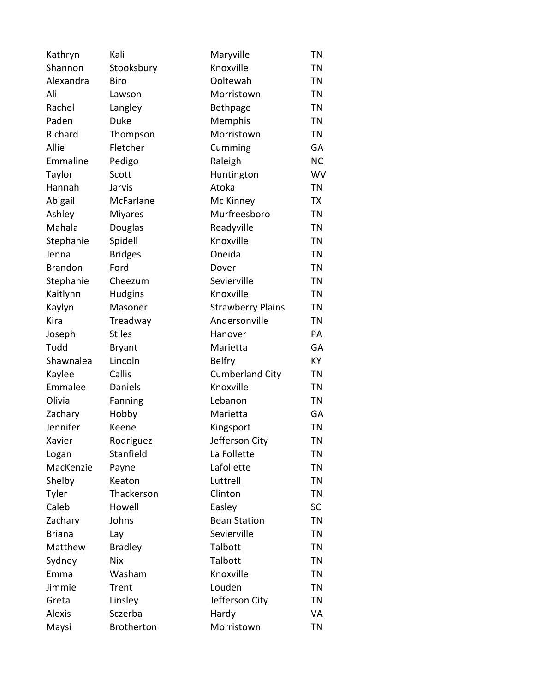| Kathryn        | Kali              | Maryville                | <b>TN</b> |
|----------------|-------------------|--------------------------|-----------|
| Shannon        | Stooksbury        | Knoxville                | <b>TN</b> |
| Alexandra      | Biro              | Ooltewah                 | <b>TN</b> |
| Ali            | Lawson            | Morristown               | <b>TN</b> |
| Rachel         | Langley           | Bethpage                 | <b>TN</b> |
| Paden          | <b>Duke</b>       | Memphis                  | <b>TN</b> |
| Richard        | Thompson          | Morristown               | <b>TN</b> |
| Allie          | Fletcher          | Cumming                  | GA        |
| Emmaline       | Pedigo            | Raleigh                  | <b>NC</b> |
| Taylor         | Scott             | Huntington               | WV        |
| Hannah         | Jarvis            | Atoka                    | <b>TN</b> |
| Abigail        | McFarlane         | Mc Kinney                | TX        |
| Ashley         | <b>Miyares</b>    | Murfreesboro             | <b>TN</b> |
| Mahala         | Douglas           | Readyville               | <b>TN</b> |
| Stephanie      | Spidell           | Knoxville                | <b>TN</b> |
| Jenna          | <b>Bridges</b>    | Oneida                   | TN        |
| <b>Brandon</b> | Ford              | Dover                    | <b>TN</b> |
| Stephanie      | Cheezum           | Sevierville              | <b>TN</b> |
| Kaitlynn       | <b>Hudgins</b>    | Knoxville                | <b>TN</b> |
| Kaylyn         | Masoner           | <b>Strawberry Plains</b> | <b>TN</b> |
| Kira           | Treadway          | Andersonville            | <b>TN</b> |
| Joseph         | <b>Stiles</b>     | Hanover                  | PA        |
| Todd           | <b>Bryant</b>     | Marietta                 | GA        |
| Shawnalea      | Lincoln           | <b>Belfry</b>            | KY        |
| Kaylee         | Callis            | <b>Cumberland City</b>   | <b>TN</b> |
| Emmalee        | Daniels           | Knoxville                | <b>TN</b> |
| Olivia         | Fanning           | Lebanon                  | <b>TN</b> |
| Zachary        | Hobby             | Marietta                 | GA        |
| Jennifer       | Keene             | Kingsport                | <b>TN</b> |
| Xavier         | Rodriguez         | Jefferson City           | ΤN        |
| Logan          | Stanfield         | La Follette              | ΤN        |
| MacKenzie      | Payne             | Lafollette               | ΤN        |
| Shelby         | Keaton            | Luttrell                 | <b>TN</b> |
| Tyler          | Thackerson        | Clinton                  | ΤN        |
| Caleb          | Howell            | Easley                   | <b>SC</b> |
| Zachary        | Johns             | <b>Bean Station</b>      | <b>TN</b> |
| <b>Briana</b>  | Lay               | Sevierville              | <b>TN</b> |
| Matthew        | <b>Bradley</b>    | Talbott                  | <b>TN</b> |
| Sydney         | <b>Nix</b>        | Talbott                  | <b>TN</b> |
| Emma           | Washam            | Knoxville                | ΤN        |
| Jimmie         | Trent             | Louden                   | ΤN        |
| Greta          | Linsley           | Jefferson City           | TN        |
| <b>Alexis</b>  | Sczerba           | Hardy                    | VA        |
| Maysi          | <b>Brotherton</b> | Morristown               | TN        |
|                |                   |                          |           |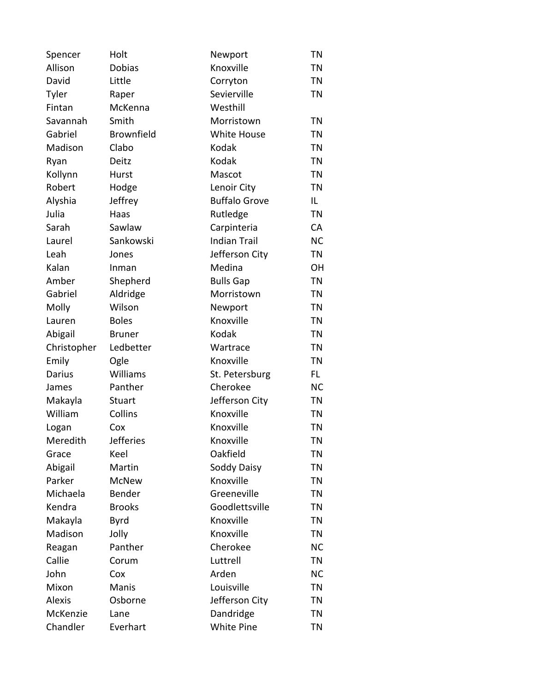| Spencer       | Holt              | Newport              | <b>TN</b> |
|---------------|-------------------|----------------------|-----------|
| Allison       | Dobias            | Knoxville            | <b>TN</b> |
| David         | Little            | Corryton             | <b>TN</b> |
| Tyler         | Raper             | Sevierville          | <b>TN</b> |
| Fintan        | McKenna           | Westhill             |           |
| Savannah      | Smith             | Morristown           | <b>TN</b> |
| Gabriel       | <b>Brownfield</b> | White House          | <b>TN</b> |
| Madison       | Clabo             | <b>Kodak</b>         | <b>TN</b> |
| Ryan          | Deitz             | Kodak                | <b>TN</b> |
| Kollynn       | Hurst             | Mascot               | <b>TN</b> |
| Robert        | Hodge             | Lenoir City          | <b>TN</b> |
| Alyshia       | Jeffrey           | <b>Buffalo Grove</b> | IL.       |
| Julia         | Haas              | Rutledge             | <b>TN</b> |
| Sarah         | Sawlaw            | Carpinteria          | CA        |
| Laurel        | Sankowski         | <b>Indian Trail</b>  | <b>NC</b> |
| Leah          | Jones             | Jefferson City       | <b>TN</b> |
| Kalan         | Inman             | Medina               | OH        |
| Amber         | Shepherd          | <b>Bulls Gap</b>     | <b>TN</b> |
| Gabriel       | Aldridge          | Morristown           | <b>TN</b> |
| Molly         | Wilson            | Newport              | <b>TN</b> |
| Lauren        | <b>Boles</b>      | Knoxville            | <b>TN</b> |
| Abigail       | <b>Bruner</b>     | Kodak                | <b>TN</b> |
| Christopher   | Ledbetter         | Wartrace             | ΤN        |
| Emily         | Ogle              | Knoxville            | <b>TN</b> |
| Darius        | Williams          | St. Petersburg       | FL.       |
| James         | Panther           | Cherokee             | <b>NC</b> |
| Makayla       | Stuart            | Jefferson City       | <b>TN</b> |
| William       | Collins           | Knoxville            | <b>TN</b> |
| Logan         | Cox               | Knoxville            | <b>TN</b> |
| Meredith      | <b>Jefferies</b>  | Knoxville            | <b>TN</b> |
| Grace         | Keel              | Oakfield             | TN        |
| Abigail       | Martin            | Soddy Daisy          | <b>TN</b> |
| Parker        | <b>McNew</b>      | Knoxville            | TN        |
| Michaela      | Bender            | Greeneville          | <b>TN</b> |
| Kendra        | <b>Brooks</b>     | Goodlettsville       | <b>TN</b> |
| Makayla       | <b>Byrd</b>       | Knoxville            | ΤN        |
| Madison       | Jolly             | Knoxville            | <b>TN</b> |
| Reagan        | Panther           | Cherokee             | <b>NC</b> |
| Callie        | Corum             | Luttrell             | <b>TN</b> |
| John          | Cox               | Arden                | <b>NC</b> |
| Mixon         | Manis             | Louisville           | <b>TN</b> |
| <b>Alexis</b> | Osborne           | Jefferson City       | ΤN        |
| McKenzie      | Lane              | Dandridge            | <b>TN</b> |
| Chandler      | Everhart          | White Pine           | <b>TN</b> |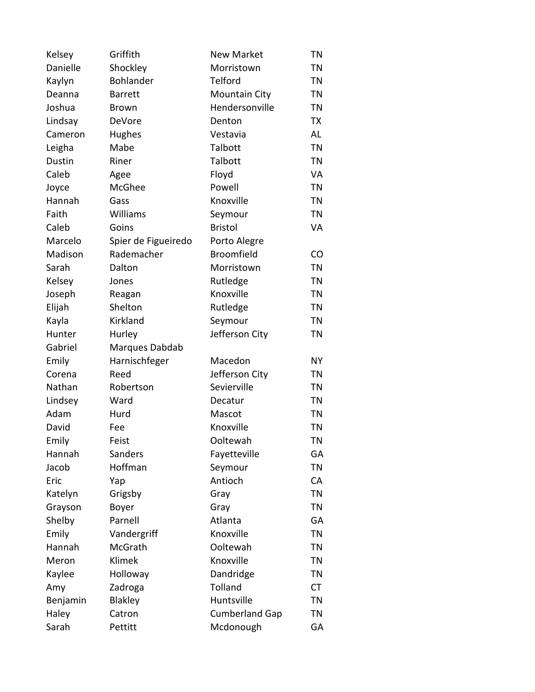| Kelsey        | Griffith            | <b>New Market</b>     | <b>TN</b> |
|---------------|---------------------|-----------------------|-----------|
| Danielle      | Shockley            | Morristown            | <b>TN</b> |
| Kaylyn        | Bohlander           | Telford               | <b>TN</b> |
| Deanna        | <b>Barrett</b>      | <b>Mountain City</b>  | <b>TN</b> |
| Joshua        | <b>Brown</b>        | Hendersonville        | TN        |
| Lindsay       | DeVore              | Denton                | TX        |
| Cameron       | Hughes              | Vestavia              | AL        |
| Leigha        | Mabe                | Talbott               | <b>TN</b> |
| <b>Dustin</b> | Riner               | Talbott               | <b>TN</b> |
| Caleb         | Agee                | Floyd                 | VA        |
| Joyce         | McGhee              | Powell                | <b>TN</b> |
| Hannah        | Gass                | Knoxville             | ΤN        |
| Faith         | Williams            | Seymour               | <b>TN</b> |
| Caleb         | Goins               | <b>Bristol</b>        | VA        |
| Marcelo       | Spier de Figueiredo | Porto Alegre          |           |
| Madison       | Rademacher          | <b>Broomfield</b>     | <b>CO</b> |
| Sarah         | Dalton              | Morristown            | <b>TN</b> |
| Kelsey        | Jones               | Rutledge              | <b>TN</b> |
| Joseph        | Reagan              | Knoxville             | <b>TN</b> |
| Elijah        | Shelton             | Rutledge              | <b>TN</b> |
| Kayla         | Kirkland            | Seymour               | <b>TN</b> |
| Hunter        | Hurley              | Jefferson City        | <b>TN</b> |
| Gabriel       | Marques Dabdab      |                       |           |
| Emily         | Harnischfeger       | Macedon               | <b>NY</b> |
| Corena        | Reed                | Jefferson City        | ΤN        |
| Nathan        | Robertson           | Sevierville           | <b>TN</b> |
| Lindsey       | Ward                | Decatur               | ΤN        |
| Adam          | Hurd                | Mascot                | <b>TN</b> |
| David         | Fee                 | Knoxville             | <b>TN</b> |
| Emily         | Feist               | Ooltewah              | <b>TN</b> |
| Hannah        | Sanders             | Fayetteville          | GA        |
| Jacob         | Hoffman             | Seymour               | <b>TN</b> |
| Eric          | Yap                 | Antioch               | CA        |
| Katelyn       | Grigsby             | Gray                  | <b>TN</b> |
| Grayson       | Boyer               | Gray                  | <b>TN</b> |
| Shelby        | Parnell             | Atlanta               | GA        |
| Emily         | Vandergriff         | Knoxville             | <b>TN</b> |
| Hannah        | McGrath             | Ooltewah              | ΤN        |
| Meron         | Klimek              | Knoxville             | <b>TN</b> |
| Kaylee        | Holloway            | Dandridge             | ΤN        |
| Amy           | Zadroga             | Tolland               | <b>CT</b> |
| Benjamin      | Blakley             | Huntsville            | <b>TN</b> |
| Haley         | Catron              | <b>Cumberland Gap</b> | ΤN        |
| Sarah         | Pettitt             | Mcdonough             | GA        |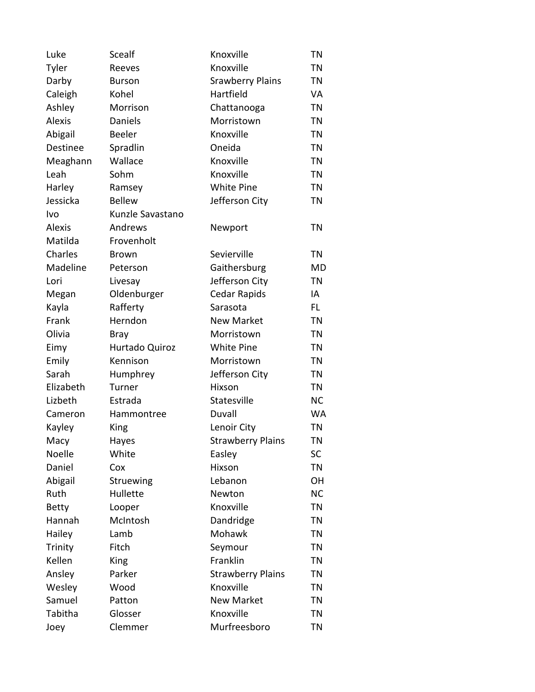| Luke          | Scealf           | Knoxville                | <b>TN</b> |
|---------------|------------------|--------------------------|-----------|
| Tyler         | Reeves           | Knoxville                | <b>TN</b> |
| Darby         | <b>Burson</b>    | <b>Srawberry Plains</b>  | <b>TN</b> |
| Caleigh       | Kohel            | Hartfield                | VA        |
| Ashley        | Morrison         | Chattanooga              | <b>TN</b> |
| <b>Alexis</b> | Daniels          | Morristown               | <b>TN</b> |
| Abigail       | Beeler           | Knoxville                | <b>TN</b> |
| Destinee      | Spradlin         | Oneida                   | <b>TN</b> |
| Meaghann      | Wallace          | Knoxville                | <b>TN</b> |
| Leah          | Sohm             | Knoxville                | <b>TN</b> |
| Harley        | Ramsey           | <b>White Pine</b>        | <b>TN</b> |
| Jessicka      | <b>Bellew</b>    | Jefferson City           | ΤN        |
| Ivo           | Kunzle Savastano |                          |           |
| <b>Alexis</b> | Andrews          | Newport                  | <b>TN</b> |
| Matilda       | Frovenholt       |                          |           |
| Charles       | <b>Brown</b>     | Sevierville              | <b>TN</b> |
| Madeline      | Peterson         | Gaithersburg             | <b>MD</b> |
| Lori          | Livesay          | Jefferson City           | TN        |
| Megan         | Oldenburger      | <b>Cedar Rapids</b>      | IA        |
| Kayla         | Rafferty         | Sarasota                 | FL.       |
| Frank         | Herndon          | <b>New Market</b>        | <b>TN</b> |
| Olivia        | <b>Bray</b>      | Morristown               | <b>TN</b> |
| Eimy          | Hurtado Quiroz   | <b>White Pine</b>        | TN        |
| Emily         | Kennison         | Morristown               | <b>TN</b> |
| Sarah         | Humphrey         | Jefferson City           | <b>TN</b> |
| Elizabeth     | Turner           | Hixson                   | <b>TN</b> |
| Lizbeth       | Estrada          | Statesville              | <b>NC</b> |
| Cameron       | Hammontree       | Duvall                   | <b>WA</b> |
| Kayley        | King             | Lenoir City              | <b>TN</b> |
| Macy          | Hayes            | <b>Strawberry Plains</b> | TN        |
| Noelle        | White            | Easley                   | <b>SC</b> |
| Daniel        | Cox              | Hixson                   | <b>TN</b> |
| Abigail       | Struewing        | Lebanon                  | <b>OH</b> |
| Ruth          | Hullette         | Newton                   | <b>NC</b> |
| <b>Betty</b>  | Looper           | Knoxville                | <b>TN</b> |
| Hannah        | McIntosh         | Dandridge                | ΤN        |
| Hailey        | Lamb             | Mohawk                   | <b>TN</b> |
| Trinity       | Fitch            | Seymour                  | ΤN        |
| Kellen        | King             | Franklin                 | <b>TN</b> |
| Ansley        | Parker           | <b>Strawberry Plains</b> | TN        |
| Wesley        | Wood             | Knoxville                | <b>TN</b> |
| Samuel        | Patton           | <b>New Market</b>        | ΤN        |
| Tabitha       | Glosser          | Knoxville                | <b>TN</b> |
| Joey          | Clemmer          | Murfreesboro             | TN        |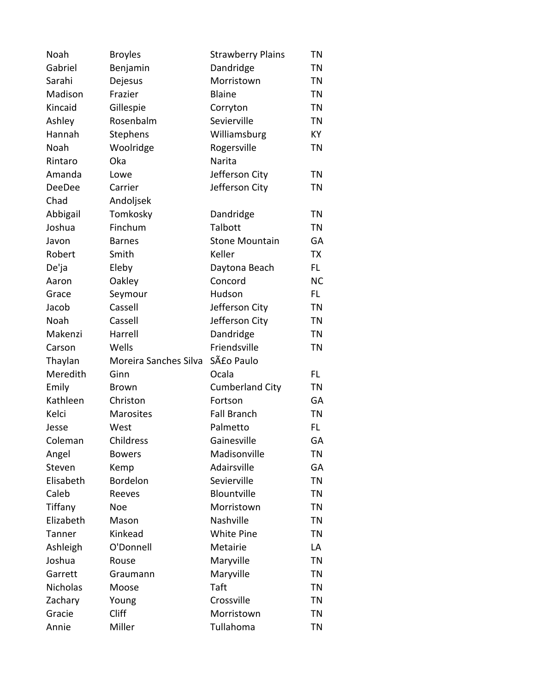| Noah            | <b>Broyles</b>        | <b>Strawberry Plains</b> | ΤN        |
|-----------------|-----------------------|--------------------------|-----------|
| Gabriel         | Benjamin              | Dandridge                | <b>TN</b> |
| Sarahi          | Dejesus               | Morristown               | <b>TN</b> |
| Madison         | Frazier               | <b>Blaine</b>            | <b>TN</b> |
| Kincaid         | Gillespie             | Corryton                 | <b>TN</b> |
| Ashley          | Rosenbalm             | Sevierville              | <b>TN</b> |
| Hannah          | Stephens              | Williamsburg             | KY        |
| Noah            | Woolridge             | Rogersville              | <b>TN</b> |
| Rintaro         | Oka                   | Narita                   |           |
| Amanda          | Lowe                  | Jefferson City           | <b>TN</b> |
| <b>DeeDee</b>   | Carrier               | Jefferson City           | <b>TN</b> |
| Chad            | Andoljsek             |                          |           |
| Abbigail        | Tomkosky              | Dandridge                | <b>TN</b> |
| Joshua          | Finchum               | Talbott                  | TN        |
| Javon           | <b>Barnes</b>         | <b>Stone Mountain</b>    | GA        |
| Robert          | Smith                 | Keller                   | TX        |
| De'ja           | Eleby                 | Daytona Beach            | FL.       |
| Aaron           | Oakley                | Concord                  | <b>NC</b> |
| Grace           | Seymour               | Hudson                   | FL.       |
| Jacob           | Cassell               | Jefferson City           | <b>TN</b> |
| Noah            | Cassell               | Jefferson City           | <b>TN</b> |
| Makenzi         | Harrell               | Dandridge                | <b>TN</b> |
| Carson          | Wells                 | Friendsville             | TN        |
| Thaylan         | Moreira Sanches Silva | São Paulo                |           |
| Meredith        | Ginn                  | Ocala                    | FL        |
| Emily           | <b>Brown</b>          | <b>Cumberland City</b>   | TN        |
| Kathleen        | Christon              | Fortson                  | GA        |
| Kelci           | Marosites             | <b>Fall Branch</b>       | <b>TN</b> |
| Jesse           | West                  | Palmetto                 | FL.       |
| Coleman         | Childress             | Gainesville              | GA        |
| Angel           | <b>Bowers</b>         | Madisonville             | ΤN        |
| Steven          | Kemp                  | Adairsville              | GA        |
| Elisabeth       | Bordelon              | Sevierville              | <b>TN</b> |
| Caleb           | Reeves                | Blountville              | <b>TN</b> |
| Tiffany         | <b>Noe</b>            | Morristown               | <b>TN</b> |
| Elizabeth       | Mason                 | Nashville                | TN        |
| Tanner          | Kinkead               | <b>White Pine</b>        | <b>TN</b> |
| Ashleigh        | O'Donnell             | Metairie                 | LA        |
| Joshua          | Rouse                 | Maryville                | <b>TN</b> |
| Garrett         | Graumann              | Maryville                | ΤN        |
| <b>Nicholas</b> | Moose                 | Taft                     | <b>TN</b> |
| Zachary         | Young                 | Crossville               | <b>TN</b> |
| Gracie          | Cliff                 | Morristown               | TN        |
| Annie           | Miller                | Tullahoma                | TN        |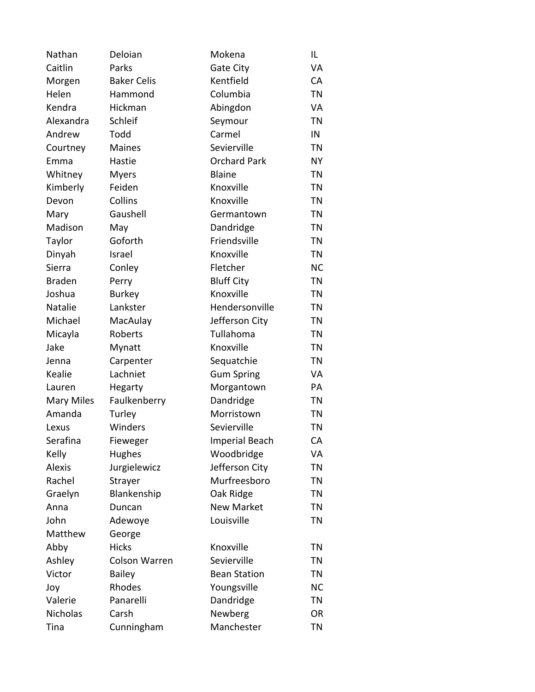| Nathan            | Deloian              | Mokena                | IL        |
|-------------------|----------------------|-----------------------|-----------|
| Caitlin           | Parks                | Gate City             | VA        |
| Morgen            | <b>Baker Celis</b>   | Kentfield             | CA        |
| Helen             | Hammond              | Columbia              | <b>TN</b> |
| Kendra            | Hickman              | Abingdon              | VA        |
| Alexandra         | Schleif              | Seymour               | <b>TN</b> |
| Andrew            | Todd                 | Carmel                | IN        |
| Courtney          | <b>Maines</b>        | Sevierville           | <b>TN</b> |
| Emma              | Hastie               | <b>Orchard Park</b>   | <b>NY</b> |
| Whitney           | <b>Myers</b>         | <b>Blaine</b>         | TN        |
| Kimberly          | Feiden               | Knoxville             | <b>TN</b> |
| Devon             | Collins              | Knoxville             | <b>TN</b> |
| Mary              | Gaushell             | Germantown            | <b>TN</b> |
| Madison           | May                  | Dandridge             | <b>TN</b> |
| Taylor            | Goforth              | Friendsville          | TN        |
| Dinyah            | Israel               | Knoxville             | <b>TN</b> |
| Sierra            | Conley               | Fletcher              | <b>NC</b> |
| <b>Braden</b>     | Perry                | <b>Bluff City</b>     | <b>TN</b> |
| Joshua            | <b>Burkey</b>        | Knoxville             | TN        |
| Natalie           | Lankster             | Hendersonville        | <b>TN</b> |
| Michael           | MacAulay             | Jefferson City        | TN        |
| Micayla           | Roberts              | Tullahoma             | <b>TN</b> |
| Jake              | Mynatt               | Knoxville             | <b>TN</b> |
| Jenna             | Carpenter            | Sequatchie            | <b>TN</b> |
| Kealie            | Lachniet             | <b>Gum Spring</b>     | VA        |
| Lauren            | <b>Hegarty</b>       | Morgantown            | PA        |
| <b>Mary Miles</b> | Faulkenberry         | Dandridge             | TN        |
| Amanda            | Turley               | Morristown            | TN        |
| Lexus             | Winders              | Sevierville           | <b>TN</b> |
| Serafina          | Fieweger             | <b>Imperial Beach</b> | CA        |
| Kelly             | <b>Hughes</b>        | Woodbridge            | VA        |
| <b>Alexis</b>     | Jurgielewicz         | Jefferson City        | TN        |
| Rachel            | Strayer              | Murfreesboro          | <b>TN</b> |
| Graelyn           | Blankenship          | Oak Ridge             | <b>TN</b> |
| Anna              | Duncan               | <b>New Market</b>     | <b>TN</b> |
| John              | Adewoye              | Louisville            | <b>TN</b> |
| Matthew           | George               |                       |           |
| Abby              | <b>Hicks</b>         | Knoxville             | ΤN        |
| Ashley            | <b>Colson Warren</b> | Sevierville           | <b>TN</b> |
| Victor            | <b>Bailey</b>        | <b>Bean Station</b>   | ΤN        |
| Joy               | Rhodes               | Youngsville           | <b>NC</b> |
| Valerie           | Panarelli            | Dandridge             | <b>TN</b> |
| Nicholas          | Carsh                | Newberg               | OR        |
| Tina              | Cunningham           | Manchester            | <b>TN</b> |